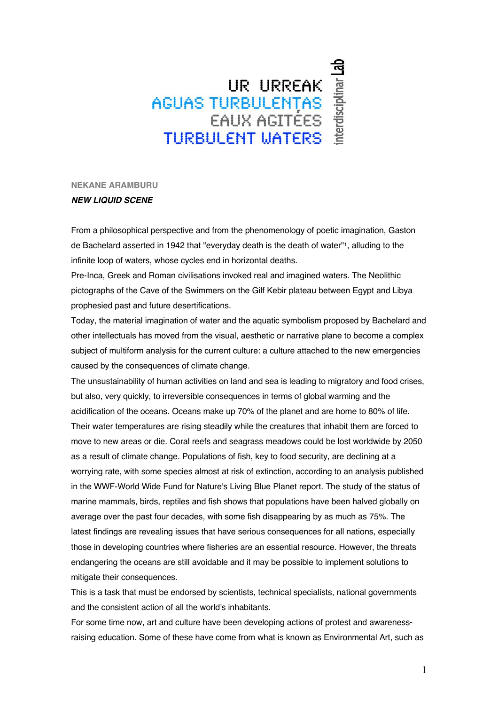## UR URREAK<br>AGUAS TURBULENȚAS<br>EAUX AGITÉES THRBHI FNT MATERS

**NEKANE ARAMBURU**

## *NEW LIQUID SCENE*

From a philosophical perspective and from the phenomenology of poetic imagination, Gaston de Bachelard asserted in 1942 that "everyday death is the death of water"1, alluding to the infinite loop of waters, whose cycles end in horizontal deaths.

Pre-Inca, Greek and Roman civilisations invoked real and imagined waters. The Neolithic pictographs of the Cave of the Swimmers on the Gilf Kebir plateau between Egypt and Libya prophesied past and future desertifications.

Today, the material imagination of water and the aquatic symbolism proposed by Bachelard and other intellectuals has moved from the visual, aesthetic or narrative plane to become a complex subject of multiform analysis for the current culture: a culture attached to the new emergencies caused by the consequences of climate change.

The unsustainability of human activities on land and sea is leading to migratory and food crises, but also, very quickly, to irreversible consequences in terms of global warming and the acidification of the oceans. Oceans make up 70% of the planet and are home to 80% of life. Their water temperatures are rising steadily while the creatures that inhabit them are forced to move to new areas or die. Coral reefs and seagrass meadows could be lost worldwide by 2050 as a result of climate change. Populations of fish, key to food security, are declining at a worrying rate, with some species almost at risk of extinction, according to an analysis published in the WWF-World Wide Fund for Nature's Living Blue Planet report. The study of the status of marine mammals, birds, reptiles and fish shows that populations have been halved globally on average over the past four decades, with some fish disappearing by as much as 75%. The latest findings are revealing issues that have serious consequences for all nations, especially those in developing countries where fisheries are an essential resource. However, the threats endangering the oceans are still avoidable and it may be possible to implement solutions to mitigate their consequences.

This is a task that must be endorsed by scientists, technical specialists, national governments and the consistent action of all the world's inhabitants.

For some time now, art and culture have been developing actions of protest and awarenessraising education. Some of these have come from what is known as Environmental Art, such as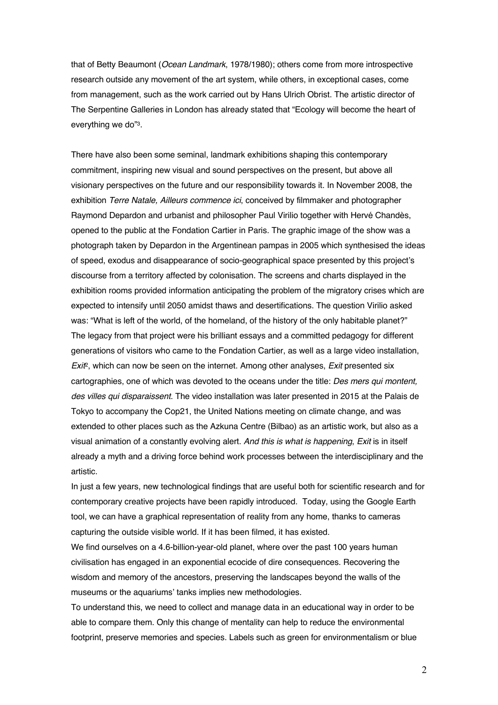that of Betty Beaumont (*Ocean Landmark*, 1978/1980); others come from more introspective research outside any movement of the art system, while others, in exceptional cases, come from management, such as the work carried out by Hans Ulrich Obrist. The artistic director of The Serpentine Galleries in London has already stated that "Ecology will become the heart of everything we do"3.

There have also been some seminal, landmark exhibitions shaping this contemporary commitment, inspiring new visual and sound perspectives on the present, but above all visionary perspectives on the future and our responsibility towards it. In November 2008, the exhibition *Terre Natale, Ailleurs commence ici*, conceived by filmmaker and photographer Raymond Depardon and urbanist and philosopher Paul Virilio together with Hervé Chandès, opened to the public at the Fondation Cartier in Paris. The graphic image of the show was a photograph taken by Depardon in the Argentinean pampas in 2005 which synthesised the ideas of speed, exodus and disappearance of socio-geographical space presented by this project's discourse from a territory affected by colonisation. The screens and charts displayed in the exhibition rooms provided information anticipating the problem of the migratory crises which are expected to intensify until 2050 amidst thaws and desertifications. The question Virilio asked was: "What is left of the world, of the homeland, of the history of the only habitable planet?" The legacy from that project were his brilliant essays and a committed pedagogy for different generations of visitors who came to the Fondation Cartier, as well as a large video installation, *Exit*2, which can now be seen on the internet. Among other analyses, *Exit* presented six cartographies, one of which was devoted to the oceans under the title: *Des mers qui montent, des villes qui disparaissent*. The video installation was later presented in 2015 at the Palais de Tokyo to accompany the Cop21, the United Nations meeting on climate change, and was extended to other places such as the Azkuna Centre (Bilbao) as an artistic work, but also as a visual animation of a constantly evolving alert. *And this is what is happening*, *Exit* is in itself already a myth and a driving force behind work processes between the interdisciplinary and the artistic.

In just a few years, new technological findings that are useful both for scientific research and for contemporary creative projects have been rapidly introduced. Today, using the Google Earth tool, we can have a graphical representation of reality from any home, thanks to cameras capturing the outside visible world. If it has been filmed, it has existed.

We find ourselves on a 4.6-billion-year-old planet, where over the past 100 years human civilisation has engaged in an exponential ecocide of dire consequences. Recovering the wisdom and memory of the ancestors, preserving the landscapes beyond the walls of the museums or the aquariums' tanks implies new methodologies.

To understand this, we need to collect and manage data in an educational way in order to be able to compare them. Only this change of mentality can help to reduce the environmental footprint, preserve memories and species. Labels such as green for environmentalism or blue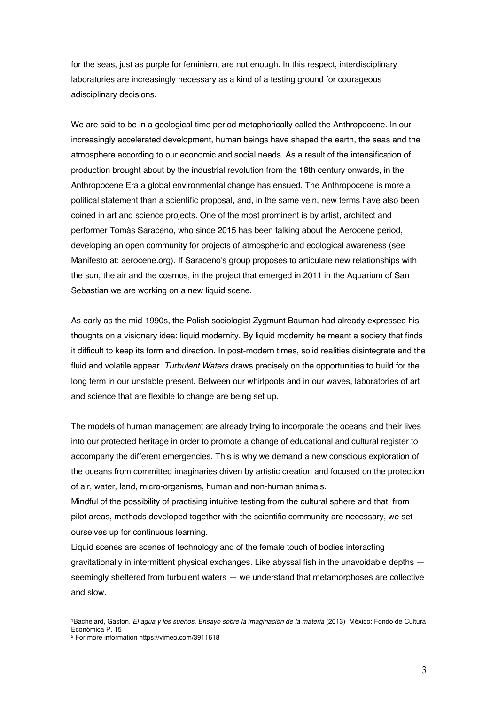for the seas, just as purple for feminism, are not enough. In this respect, interdisciplinary laboratories are increasingly necessary as a kind of a testing ground for courageous adisciplinary decisions.

We are said to be in a geological time period metaphorically called the Anthropocene. In our increasingly accelerated development, human beings have shaped the earth, the seas and the atmosphere according to our economic and social needs. As a result of the intensification of production brought about by the industrial revolution from the 18th century onwards, in the Anthropocene Era a global environmental change has ensued. The Anthropocene is more a political statement than a scientific proposal, and, in the same vein, new terms have also been coined in art and science projects. One of the most prominent is by artist, architect and performer Tomás Saraceno, who since 2015 has been talking about the Aerocene period, developing an open community for projects of atmospheric and ecological awareness (see Manifesto at: aerocene.org). If Saraceno's group proposes to articulate new relationships with the sun, the air and the cosmos, in the project that emerged in 2011 in the Aquarium of San Sebastian we are working on a new liquid scene.

As early as the mid-1990s, the Polish sociologist Zygmunt Bauman had already expressed his thoughts on a visionary idea: liquid modernity. By liquid modernity he meant a society that finds it difficult to keep its form and direction. In post-modern times, solid realities disintegrate and the fluid and volatile appear. *Turbulent Waters* draws precisely on the opportunities to build for the long term in our unstable present. Between our whirlpools and in our waves, laboratories of art and science that are flexible to change are being set up.

The models of human management are already trying to incorporate the oceans and their lives into our protected heritage in order to promote a change of educational and cultural register to accompany the different emergencies. This is why we demand a new conscious exploration of the oceans from committed imaginaries driven by artistic creation and focused on the protection of air, water, land, micro-organisms, human and non-human animals.

Mindful of the possibility of practising intuitive testing from the cultural sphere and that, from pilot areas, methods developed together with the scientific community are necessary, we set ourselves up for continuous learning.

Liquid scenes are scenes of technology and of the female touch of bodies interacting gravitationally in intermittent physical exchanges. Like abyssal fish in the unavoidable depths seemingly sheltered from turbulent waters - we understand that metamorphoses are collective and slow.

<sup>1</sup>Bachelard, Gaston. *El agua y los sueños. Ensayo sobre la imaginación de la materia* (2013) México: Fondo de Cultura Económica P. 15